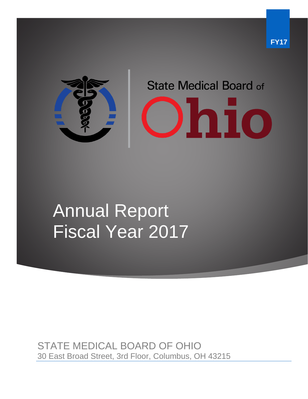

# Annual Report Fiscal Year 2017

STATE MEDICAL BOARD OF OHIO 30 East Broad Street, 3rd Floor, Columbus, OH 43215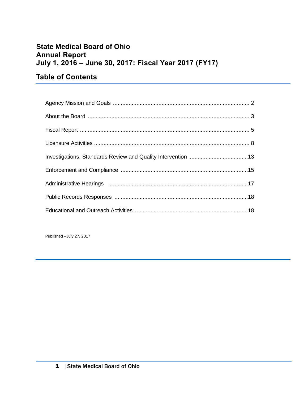### **State Medical Board of Ohio Annual Report July 1, 2016 – June 30, 2017: Fiscal Year 2017 (FY17)**

### **Table of Contents**

Published –July 27, 2017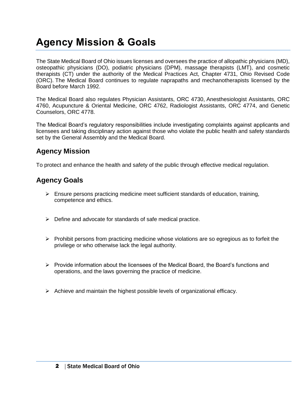# **Agency Mission & Goals**

The State Medical Board of Ohio issues licenses and oversees the practice of allopathic physicians (MD), osteopathic physicians (DO), podiatric physicians (DPM), massage therapists (LMT), and cosmetic therapists (CT) under the authority of the Medical Practices Act, Chapter 4731, Ohio Revised Code (ORC). The Medical Board continues to regulate naprapaths and mechanotherapists licensed by the Board before March 1992.

The Medical Board also regulates Physician Assistants, ORC 4730, Anesthesiologist Assistants, ORC 4760, Acupuncture & Oriental Medicine, ORC 4762, Radiologist Assistants, ORC 4774, and Genetic Counselors, ORC 4778.

The Medical Board's regulatory responsibilities include investigating complaints against applicants and licensees and taking disciplinary action against those who violate the public health and safety standards set by the General Assembly and the Medical Board.

### **Agency Mission**

To protect and enhance the health and safety of the public through effective medical regulation.

### **Agency Goals**

- ➢ Ensure persons practicing medicine meet sufficient standards of education, training, competence and ethics.
- ➢ Define and advocate for standards of safe medical practice.
- $\triangleright$  Prohibit persons from practicing medicine whose violations are so egregious as to forfeit the privilege or who otherwise lack the legal authority.
- ➢ Provide information about the licensees of the Medical Board, the Board's functions and operations, and the laws governing the practice of medicine.
- $\triangleright$  Achieve and maintain the highest possible levels of organizational efficacy.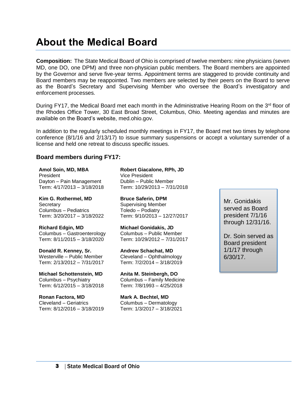### **About the Medical Board**

**Composition:** The State Medical Board of Ohio is comprised of twelve members: nine physicians (seven MD, one DO, one DPM) and three non-physician public members. The Board members are appointed by the Governor and serve five-year terms. Appointment terms are staggered to provide continuity and Board members may be reappointed. Two members are selected by their peers on the Board to serve as the Board's Secretary and Supervising Member who oversee the Board's investigatory and enforcement processes.

During FY17, the Medical Board met each month in the Administrative Hearing Room on the  $3<sup>rd</sup>$  floor of the Rhodes Office Tower, 30 East Broad Street, Columbus, Ohio. Meeting agendas and minutes are available on the Board's website, med.ohio.gov.

In addition to the regularly scheduled monthly meetings in FY17, the Board met two times by telephone conference (8/1/16 and 2/13/17) to issue summary suspensions or accept a voluntary surrender of a license and held one retreat to discuss specific issues.

#### **Board members during FY17:**

**Amol Soin, MD, MBA** President Dayton – Pain Management Term: 4/17/2013 – 3/18/2018

**Kim G. Rothermel, MD Secretary** Columbus – Pediatrics Term: 3/20/2017 – 3/18/2022

**Richard Edgin, MD** Columbus – Gastroenterology Term: 8/11/2015 – 3/18/2020

**Donald R. Kenney, Sr.** Westerville – Public Member Term: 2/13/2012 – 7/31/2017

**Michael Schottenstein, MD** Columbus – Psychiatry Term: 6/12/2015 – 3/18/2018

**Ronan Factora, MD** Cleveland – Geriatrics Term: 8/12/2016 – 3/18/2019 **Robert Giacalone, RPh, JD** Vice President Dublin – Public Member Term: 10/29/2013 – 7/31/2018

**Bruce Saferin, DPM**  Supervising Member Toledo – Podiatry Term: 9/10/2013 – 12/27/2017

**Michael Gonidakis, JD** Columbus – Public Member Term: 10/29/2012 – 7/31/2017

**Andrew Schachat, MD** Cleveland – Ophthalmology Term: 7/2/2014 – 3/18/2019

**Anita M. Steinbergh, DO** Columbus – Family Medicine Term: 7/8/1993 – 4/25/2018

**Mark A. Bechtel, MD** Columbus – Dermatology Term: 1/3/2017 – 3/18/2021 Mr. Gonidakis served as Board president 7/1/16 through 12/31/16.

Dr. Soin served as Board president 1/1/17 through 6/30/17.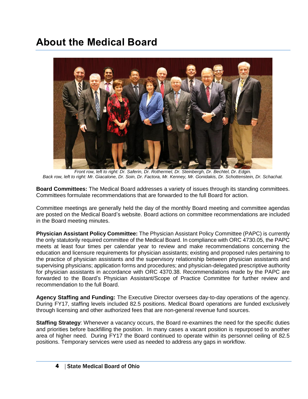# **About the Medical Board**



*Front row, left to right: Dr. Saferin, Dr. Rothermel, Dr. Steinbergh, Dr. Bechtel, Dr. Edgin. Back row, left to right: Mr. Giacalone, Dr. Soin, Dr. Factora, Mr. Kenney, Mr. Gonidakis, Dr. Schottenstein, Dr. Schachat.*

**Board Committees:** The Medical Board addresses a variety of issues through its standing committees. Committees formulate recommendations that are forwarded to the full Board for action.

Committee meetings are generally held the day of the monthly Board meeting and committee agendas are posted on the Medical Board's website. Board actions on committee recommendations are included in the Board meeting minutes.

**Physician Assistant Policy Committee:** The Physician Assistant Policy Committee (PAPC) is currently the only statutorily required committee of the Medical Board. In compliance with ORC 4730.05, the PAPC meets at least four times per calendar year to review and make recommendations concerning the education and licensure requirements for physician assistants; existing and proposed rules pertaining to the practice of physician assistants and the supervisory relationship between physician assistants and supervising physicians; application forms and procedures; and physician-delegated prescriptive authority for physician assistants in accordance with ORC 4370.38. Recommendations made by the PAPC are forwarded to the Board's Physician Assistant/Scope of Practice Committee for further review and recommendation to the full Board.

**Agency Staffing and Funding:** The Executive Director oversees day-to-day operations of the agency. During FY17, staffing levels included 82.5 positions. Medical Board operations are funded exclusively through licensing and other authorized fees that are non-general revenue fund sources.

**Staffing Strategy:** Whenever a vacancy occurs, the Board re-examines the need for the specific duties and priorities before backfilling the position. In many cases a vacant position is repurposed to another area of higher need. During FY17 the Board continued to operate within its personnel ceiling of 82.5 positions. Temporary services were used as needed to address any gaps in workflow.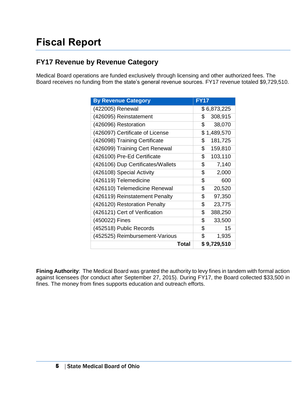# **Fiscal Report**

### **FY17 Revenue by Revenue Category**

Medical Board operations are funded exclusively through licensing and other authorized fees. The Board receives no funding from the state's general revenue sources. FY17 revenue totaled \$9,729,510.

| <b>By Revenue Category</b>        | <b>EY17</b>   |
|-----------------------------------|---------------|
| (422005) Renewal                  | \$6,873,225   |
| (426095) Reinstatement            | \$<br>308,915 |
| (426096) Restoration              | \$<br>38,070  |
| (426097) Certificate of License   | \$1,489,570   |
| (426098) Training Certificate     | \$<br>181,725 |
| (426099) Training Cert Renewal    | \$<br>159,810 |
| (426100) Pre-Ed Certificate       | \$<br>103,110 |
| (426106) Dup Certificates/Wallets | \$<br>7,140   |
| (426108) Special Activity         | \$<br>2,000   |
| (426119) Telemedicine             | \$<br>600     |
| (426110) Telemedicine Renewal     | \$<br>20,520  |
| (426119) Reinstatement Penalty    | \$<br>97,350  |
| (426120) Restoration Penalty      | \$<br>23,775  |
| (426121) Cert of Verification     | \$<br>388,250 |
| (450022) Fines                    | \$<br>33,500  |
| (452518) Public Records           | \$<br>15      |
| (452525) Reimbursement-Various    | \$<br>1,935   |
| Total                             | \$9,729,510   |

**Fining Authority**: The Medical Board was granted the authority to levy fines in tandem with formal action against licensees (for conduct after September 27, 2015). During FY17, the Board collected \$33,500 in fines. The money from fines supports education and outreach efforts.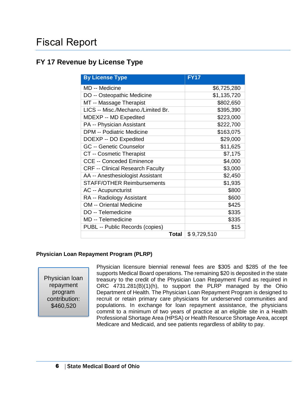### **FY 17 Revenue by License Type**

| <b>By License Type</b>                  | <b>FY17</b> |
|-----------------------------------------|-------------|
| MD -- Medicine                          | \$6,725,280 |
| DO -- Osteopathic Medicine              | \$1,135,720 |
| MT -- Massage Therapist                 | \$802,650   |
| LICS -- Misc./Mechano./Limited Br.      | \$395,390   |
| MDEXP -- MD Expedited                   | \$223,000   |
| PA -- Physician Assistant               | \$222,700   |
| <b>DPM -- Podiatric Medicine</b>        | \$163,075   |
| DOEXP -- DO Expedited                   | \$29,000    |
| <b>GC -- Genetic Counselor</b>          | \$11,625    |
| CT -- Cosmetic Therapist                | \$7,175     |
| <b>CCE -- Conceded Eminence</b>         | \$4,000     |
| <b>CRF -- Clinical Research Faculty</b> | \$3,000     |
| AA -- Anesthesiologist Assistant        | \$2,450     |
| <b>STAFF/OTHER Reimbursements</b>       | \$1,935     |
| <b>AC -- Acupuncturist</b>              | \$800       |
| RA -- Radiology Assistant               | \$600       |
| <b>OM -- Oriental Medicine</b>          | \$425       |
| DO -- Telemedicine                      | \$335       |
| MD -- Telemedicine                      | \$335       |
| PUBL -- Public Records (copies)         | \$15        |
| <b>Total</b>                            | \$9,729,510 |

#### **Physician Loan Repayment Program (PLRP)**

Physician loan repayment program contribution: \$460,520

Physician licensure biennial renewal fees are \$305 and \$285 of the fee supports Medical Board operations. The remaining \$20 is deposited in the state treasury to the credit of the Physician Loan Repayment Fund as required in ORC 4731.281(B)(1)(h), to support the PLRP managed by the Ohio Department of Health. The Physician Loan Repayment Program is designed to recruit or retain primary care physicians for underserved communities and populations. In exchange for loan repayment assistance, the physicians commit to a minimum of two years of practice at an eligible site in a Health Professional Shortage Area (HPSA) or Health Resource Shortage Area, accept Medicare and Medicaid, and see patients regardless of ability to pay.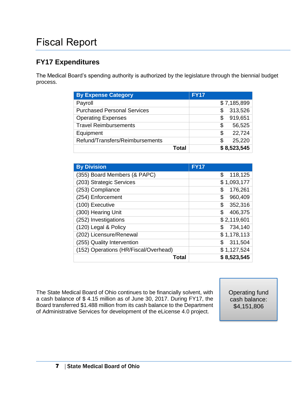# Fiscal Report

### **FY17 Expenditures**

The Medical Board's spending authority is authorized by the legislature through the biennial budget process.

| <b>By Expense Category</b>         | <b>FY17</b>   |
|------------------------------------|---------------|
| Payroll                            | \$7,185,899   |
| <b>Purchased Personal Services</b> | 313,526<br>S  |
| <b>Operating Expenses</b>          | 919,651<br>\$ |
| <b>Travel Reimbursements</b>       | \$<br>56,525  |
| Equipment                          | 22,724<br>\$  |
| Refund/Transfers/Reimbursements    | 25,220<br>S   |
| Total                              | \$8,523,545   |

| <b>By Division</b>                    | <b>FY17</b>   |
|---------------------------------------|---------------|
| (355) Board Members (& PAPC)          | \$<br>118,125 |
| (203) Strategic Services              | \$1,093,177   |
| (253) Compliance                      | 176,261<br>\$ |
| (254) Enforcement                     | \$<br>960,409 |
| (100) Executive                       | 352,316<br>\$ |
| (300) Hearing Unit                    | \$<br>406,375 |
| (252) Investigations                  | \$2,119,601   |
| (120) Legal & Policy                  | \$<br>734,140 |
| (202) Licensure/Renewal               | \$1,178,113   |
| (255) Quality Intervention            | \$<br>311,504 |
| (152) Operations (HR/Fiscal/Overhead) | \$1,127,524   |
| Total                                 | \$8,523,545   |

The State Medical Board of Ohio continues to be financially solvent, with a cash balance of \$ 4.15 million as of June 30, 2017. During FY17, the Board transferred \$1.488 million from its cash balance to the Department of Administrative Services for development of the eLicense 4.0 project.

Operating fund cash balance: \$4,151,806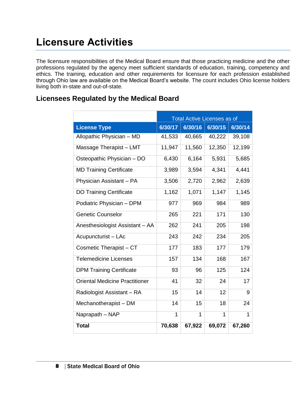The licensure responsibilities of the Medical Board ensure that those practicing medicine and the other professions regulated by the agency meet sufficient standards of education, training, competency and ethics. The training, education and other requirements for licensure for each profession established through Ohio law are available on the Medical Board's website. The count includes Ohio license holders living both in-state and out-of-state.

|                                       | <b>Total Active Licenses as of</b> |              |                 |         |
|---------------------------------------|------------------------------------|--------------|-----------------|---------|
| <b>License Type</b>                   | 6/30/17                            | 6/30/16      | 6/30/15         | 6/30/14 |
| Allopathic Physician - MD             | 41,533                             | 40,665       | 40,222          | 39,108  |
| Massage Therapist - LMT               | 11,947                             | 11,560       | 12,350          | 12,199  |
| Osteopathic Physician - DO            | 6,430                              | 6,164        | 5,931           | 5,685   |
| <b>MD Training Certificate</b>        | 3,989                              | 3,594        | 4,341           | 4,441   |
| Physician Assistant - PA              | 3,506                              | 2,720        | 2,962           | 2,639   |
| <b>DO Training Certificate</b>        | 1,162                              | 1,071        | 1,147           | 1,145   |
| Podiatric Physician - DPM             | 977                                | 969          | 984             | 989     |
| <b>Genetic Counselor</b>              | 265                                | 221          | 171             | 130     |
| Anesthesiologist Assistant - AA       | 262                                | 241          | 205             | 198     |
| Acupuncturist - LAc                   | 243                                | 242          | 234             | 205     |
| Cosmetic Therapist - CT               | 177                                | 183          | 177             | 179     |
| <b>Telemedicine Licenses</b>          | 157                                | 134          | 168             | 167     |
| <b>DPM Training Certificate</b>       | 93                                 | 96           | 125             | 124     |
| <b>Oriental Medicine Practitioner</b> | 41                                 | 32           | 24              | 17      |
| Radiologist Assistant - RA            | 15                                 | 14           | 12 <sup>2</sup> | 9       |
| Mechanotherapist - DM                 | 14                                 | 15           | 18              | 24      |
| Naprapath - NAP                       | 1                                  | $\mathbf{1}$ | 1               | 1       |
| <b>Total</b>                          | 70,638                             | 67,922       | 69,072          | 67,260  |

### **Licensees Regulated by the Medical Board**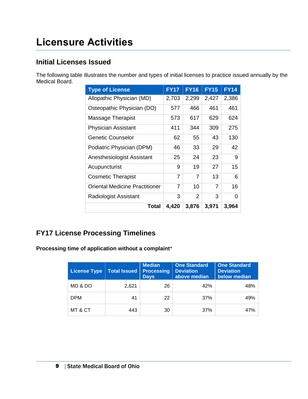### **Initial Licenses Issued**

The following table illustrates the number and types of initial licenses to practice issued annually by the Medical Board.

| <b>Type of License</b>                | <b>FY17</b> | <b>FY16</b>    | <b>FY15</b> | <b>FY14</b> |
|---------------------------------------|-------------|----------------|-------------|-------------|
| Allopathic Physician (MD)             | 2,703       | 2,299          | 2,427       | 2,386       |
| Osteopathic Physician (DO)            | 577         | 466            | 461         | 461         |
| Massage Therapist                     | 573         | 617            | 629         | 624         |
| <b>Physician Assistant</b>            | 411         | 344            | 309         | 275         |
| <b>Genetic Counselor</b>              | 62          | 55             | 43          | 130         |
| Podiatric Physician (DPM)             | 46          | 33             | 29          | 42          |
| Anesthesiologist Assistant            | 25          | 24             | 23          | 9           |
| Acupuncturist                         | 9           | 19             | 27          | 15          |
| <b>Cosmetic Therapist</b>             | 7           | $\overline{7}$ | 13          | 6           |
| <b>Oriental Medicine Practitioner</b> | 7           | 10             | 7           | 16          |
| <b>Radiologist Assistant</b>          | 3           | $\overline{2}$ | 3           | 0           |
| Total                                 | 4,420       | 3,876          | 3,971       | 3,964       |

### **FY17 License Processing Timelines**

**Processing time of application without a complaint**\*

| <b>License Type</b> | <b>Total Issued</b> | <b>Median</b><br><b>Processing</b><br><b>Days</b> | <b>One Standard</b><br><b>Deviation</b><br>above median | <b>One Standard</b><br><b>Deviation</b><br>below median |
|---------------------|---------------------|---------------------------------------------------|---------------------------------------------------------|---------------------------------------------------------|
| MD & DO             | 2.621               | 26                                                | 42%                                                     | 48%                                                     |
| <b>DPM</b>          | 41                  | 22                                                | 37%                                                     | 49%                                                     |
| MT & CT             | 443                 | 30                                                | 37%                                                     | 47%                                                     |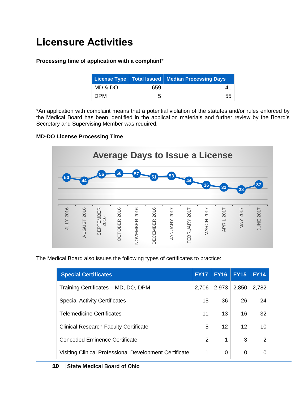#### **Processing time of application with a complaint**\*

|            |     | License Type   Total Issued   Median Processing Days |
|------------|-----|------------------------------------------------------|
| MD & DO    | 659 |                                                      |
| <b>DPM</b> | 5   | 55                                                   |

\*An application with complaint means that a potential violation of the statutes and/or rules enforced by the Medical Board has been identified in the application materials and further review by the Board's Secretary and Supervising Member was required.

#### **MD-DO License Processing Time**



The Medical Board also issues the following types of certificates to practice:

| <b>Special Certificates</b>                            | <b>FY17</b> | <b>FY16</b>       | <b>FY15</b> | <b>FY14</b>   |
|--------------------------------------------------------|-------------|-------------------|-------------|---------------|
| Training Certificates - MD, DO, DPM                    | 2,706       | 2,973             | 2,850       | 2,782         |
| <b>Special Activity Certificates</b>                   | 15          | 36                | 26          | 24            |
| <b>Telemedicine Certificates</b>                       | 11          | 13                | 16          | 32            |
| <b>Clinical Research Faculty Certificate</b>           | 5           | $12 \overline{ }$ | 12          | 10            |
| Conceded Eminence Certificate                          | 2           | 1                 | 3           | $\mathcal{P}$ |
| Visiting Clinical Professional Development Certificate | 1           | 0                 | 0           | 0             |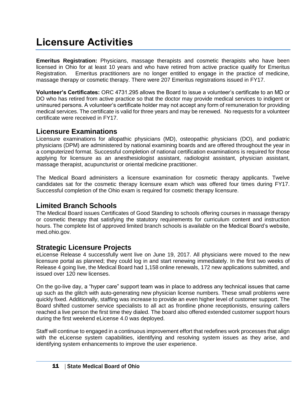**Emeritus Registration:** Physicians, massage therapists and cosmetic therapists who have been licensed in Ohio for at least 10 years and who have retired from active practice qualify for Emeritus Registration. Emeritus practitioners are no longer entitled to engage in the practice of medicine, massage therapy or cosmetic therapy. There were 207 Emeritus registrations issued in FY17.

**Volunteer's Certificates:** ORC 4731.295 allows the Board to issue a volunteer's certificate to an MD or DO who has retired from active practice so that the doctor may provide medical services to indigent or uninsured persons. A volunteer's certificate holder may not accept any form of remuneration for providing medical services. The certificate is valid for three years and may be renewed. No requests for a volunteer certificate were received in FY17.

#### **Licensure Examinations**

Licensure examinations for allopathic physicians (MD), osteopathic physicians (DO), and podiatric physicians (DPM) are administered by national examining boards and are offered throughout the year in a computerized format. Successful completion of national certification examinations is required for those applying for licensure as an anesthesiologist assistant, radiologist assistant, physician assistant, massage therapist, acupuncturist or oriental medicine practitioner.

The Medical Board administers a licensure examination for cosmetic therapy applicants. Twelve candidates sat for the cosmetic therapy licensure exam which was offered four times during FY17. Successful completion of the Ohio exam is required for cosmetic therapy licensure.

### **Limited Branch Schools**

The Medical Board issues Certificates of Good Standing to schools offering courses in massage therapy or cosmetic therapy that satisfying the statutory requirements for curriculum content and instruction hours. The complete list of approved limited branch schools is available on the Medical Board's website, med.ohio.gov.

### **Strategic Licensure Projects**

eLicense Release 4 successfully went live on June 19, 2017. All physicians were moved to the new licensure portal as planned; they could log in and start renewing immediately. In the first two weeks of Release 4 going live, the Medical Board had 1,158 online renewals, 172 new applications submitted, and issued over 120 new licenses.

On the go-live day, a "hyper care" support team was in place to address any technical issues that came up such as the glitch with auto-generating new physician license numbers. These small problems were quickly fixed. Additionally, staffing was increase to provide an even higher level of customer support. The Board shifted customer service specialists to all act as frontline phone receptionists, ensuring callers reached a live person the first time they dialed. The board also offered extended customer support hours during the first weekend eLicense 4.0 was deployed.

Staff will continue to engaged in a continuous improvement effort that redefines work processes that align with the eLicense system capabilities, identifying and resolving system issues as they arise, and identifying system enhancements to improve the user experience.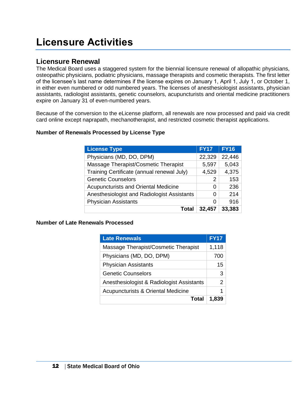### **Licensure Renewal**

The Medical Board uses a staggered system for the biennial licensure renewal of allopathic physicians, osteopathic physicians, podiatric physicians, massage therapists and cosmetic therapists. The first letter of the licensee's last name determines if the license expires on January 1, April 1, July 1, or October 1, in either even numbered or odd numbered years. The licenses of anesthesiologist assistants, physician assistants, radiologist assistants, genetic counselors, acupuncturists and oriental medicine practitioners expire on January 31 of even-numbered years.

Because of the conversion to the eLicense platform, all renewals are now processed and paid via credit card online except naprapath, mechanotherapist, and restricted cosmetic therapist applications.

#### **Number of Renewals Processed by License Type**

| <b>License Type</b>                         | <b>FY17</b> | <b>FY16</b> |
|---------------------------------------------|-------------|-------------|
| Physicians (MD, DO, DPM)                    | 22,329      | 22,446      |
| Massage Therapist/Cosmetic Therapist        | 5,597       | 5,043       |
| Training Certificate (annual renewal July)  | 4,529       | 4,375       |
| <b>Genetic Counselors</b>                   | 2           | 153         |
| Acupuncturists and Oriental Medicine        | 0           | 236         |
| Anesthesiologist and Radiologist Assistants | 0           | 214         |
| <b>Physician Assistants</b>                 | 0           | 916         |
| Tota                                        | 32,457      | 33,383      |

#### **Number of Late Renewals Processed**

| <b>Late Renewals</b>                          | <b>FY17</b> |
|-----------------------------------------------|-------------|
| Massage Therapist/Cosmetic Therapist          | 1,118       |
| Physicians (MD, DO, DPM)                      | 700         |
| <b>Physician Assistants</b>                   | 15          |
| Genetic Counselors                            | 3           |
| Anesthesiologist & Radiologist Assistants     | 2           |
| <b>Acupuncturists &amp; Oriental Medicine</b> | 1           |
| Total                                         | 1,839       |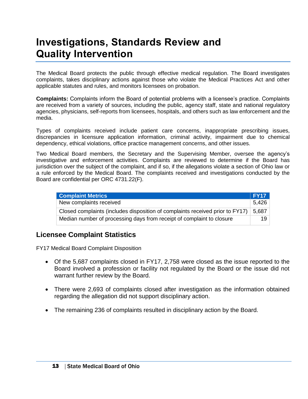# **Investigations, Standards Review and Quality Intervention**

The Medical Board protects the public through effective medical regulation. The Board investigates complaints, takes disciplinary actions against those who violate the Medical Practices Act and other applicable statutes and rules, and monitors licensees on probation.

**Complaints:** Complaints inform the Board of potential problems with a licensee's practice. Complaints are received from a variety of sources, including the public, agency staff, state and national regulatory agencies, physicians, self-reports from licensees, hospitals, and others such as law enforcement and the media.

Types of complaints received include patient care concerns, inappropriate prescribing issues, discrepancies in licensure application information, criminal activity, impairment due to chemical dependency, ethical violations, office practice management concerns, and other issues.

Two Medical Board members, the Secretary and the Supervising Member, oversee the agency's investigative and enforcement activities. Complaints are reviewed to determine if the Board has jurisdiction over the subject of the complaint, and if so, if the allegations violate a section of Ohio law or a rule enforced by the Medical Board. The complaints received and investigations conducted by the Board are confidential per ORC 4731.22(F).

| <b>Complaint Metrics</b>                                                      | FY17            |
|-------------------------------------------------------------------------------|-----------------|
| New complaints received                                                       | 5.426           |
| Closed complaints (includes disposition of complaints received prior to FY17) | 5.687           |
| Median number of processing days from receipt of complaint to closure         | 19 <sup>1</sup> |

### **Licensee Complaint Statistics**

FY17 Medical Board Complaint Disposition

- Of the 5,687 complaints closed in FY17, 2,758 were closed as the issue reported to the Board involved a profession or facility not regulated by the Board or the issue did not warrant further review by the Board.
- There were 2,693 of complaints closed after investigation as the information obtained regarding the allegation did not support disciplinary action.
- The remaining 236 of complaints resulted in disciplinary action by the Board.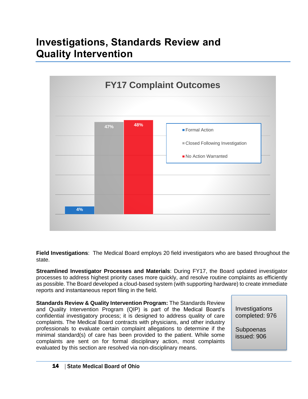# **Investigations, Standards Review and Quality Intervention**



**Field Investigations**: The Medical Board employs 20 field investigators who are based throughout the state.

**Streamlined Investigator Processes and Materials**: During FY17, the Board updated investigator processes to address highest priority cases more quickly, and resolve routine complaints as efficiently as possible. The Board developed a cloud-based system (with supporting hardware) to create immediate reports and instantaneous report filing in the field.

**Standards Review & Quality Intervention Program:** The Standards Review and Quality Intervention Program (QIP) is part of the Medical Board's confidential investigatory process; it is designed to address quality of care complaints. The Medical Board contracts with physicians, and other industry professionals to evaluate certain complaint allegations to determine if the minimal standard(s) of care has been provided to the patient. While some complaints are sent on for formal disciplinary action, most complaints evaluated by this section are resolved via non-disciplinary means.

**Investigations** completed: 976

**Subpoenas** issued: 906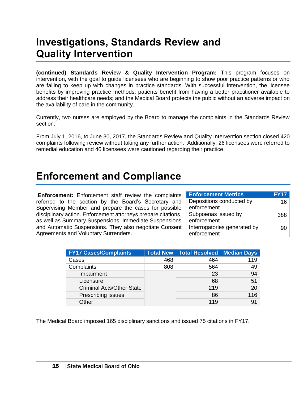### **Investigations, Standards Review and Quality Intervention**

**(continued) Standards Review & Quality Intervention Program:** This program focuses on intervention, with the goal to guide licensees who are beginning to show poor practice patterns or who are failing to keep up with changes in practice standards. With successful intervention, the licensee benefits by improving practice methods; patients benefit from having a better practitioner available to address their healthcare needs; and the Medical Board protects the public without an adverse impact on the availability of care in the community.

Currently, two nurses are employed by the Board to manage the complaints in the Standards Review section.

From July 1, 2016, to June 30, 2017, the Standards Review and Quality Intervention section closed 420 complaints following review without taking any further action. Additionally, 26 licensees were referred to remedial education and 46 licensees were cautioned regarding their practice.

### **Enforcement and Compliance**

**Enforcement:** Enforcement staff review the complaints referred to the section by the Board's Secretary and Supervising Member and prepare the cases for possible disciplinary action. Enforcement attorneys prepare citations, as well as Summary Suspensions, Immediate Suspensions and Automatic Suspensions. They also negotiate Consent Agreements and Voluntary Surrenders.

| <b>Enforcement Metrics</b>   | <b>FY17</b> |
|------------------------------|-------------|
| Depositions conducted by     | 16          |
| enforcement                  |             |
| Subpoenas issued by          | 388.        |
| enforcement                  |             |
| Interrogatories generated by | 90          |
| enforcement                  |             |

| <b>FY17 Cases/Complaints</b>     |     | Total New   Total Resolved   Median Days |     |
|----------------------------------|-----|------------------------------------------|-----|
| Cases                            | 468 | 464                                      | 119 |
| Complaints                       | 808 | 564                                      | 49  |
| Impairment                       |     | 23                                       | 94  |
| Licensure                        |     | 68                                       | 51  |
| <b>Criminal Acts/Other State</b> |     | 219                                      | 20  |
| Prescribing issues               |     | 86                                       | 116 |
| Other                            |     | 119                                      | 91  |

The Medical Board imposed 165 disciplinary sanctions and issued 75 citations in FY17.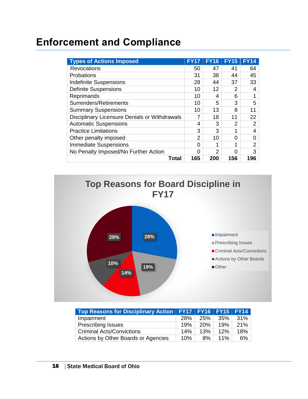# **Enforcement and Compliance**

| <b>Types of Actions Imposed</b>               | <b>FY17</b> | <b>FY16</b>    | <b>FY15</b>   | <b>FY14</b> |
|-----------------------------------------------|-------------|----------------|---------------|-------------|
| <b>Revocations</b>                            | 50          | 47             | 41            | 64          |
| Probations                                    | 31          | 38             | 44            | 45          |
| <b>Indefinite Suspensions</b>                 | 28          | 44             | 37            | 33          |
| <b>Definite Suspensions</b>                   | 10          | 12             | 2             | 4           |
| Reprimands                                    | 10          | 4              | 6             |             |
| Surrenders/Retirements                        | 10          | 5              | 3             | 5           |
| <b>Summary Suspensions</b>                    | 10          | 13             | 8             | 11          |
| Disciplinary Licensure Denials or Withdrawals |             | 18             | 11            | 22          |
| <b>Automatic Suspensions</b>                  | 4           | 3              | $\mathcal{P}$ | 2           |
| <b>Practice Limitations</b>                   | 3           | 3              | 1             | 4           |
| Other penalty imposed                         | 2           | 10             | 0             | 0           |
| <b>Immediate Suspensions</b>                  | ი           | 1              | 1             | 2           |
| No Penalty Imposed/No Further Action          | ი           | $\overline{2}$ | ∩             | 3           |
| Total                                         | 165         | 200            | 156           | 196         |



| Top Reasons for Disciplinary Action   FY17   FY16   FY15   FY14 |     |            |        |     |
|-----------------------------------------------------------------|-----|------------|--------|-----|
| Impairment                                                      | 28% | 25%        | 35%    | 31% |
| <b>Prescribing Issues</b>                                       | 19% | <b>20%</b> | 19%    | 21% |
| <b>Criminal Acts/Convictions</b>                                | 14% | 13%        | 12%    | 18% |
| Actions by Other Boards or Agencies                             | 10% | 8%         | $11\%$ | 6%  |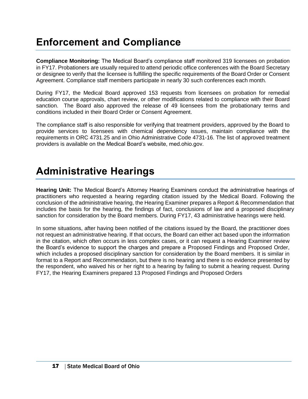# **Enforcement and Compliance**

**Compliance Monitoring:** The Medical Board's compliance staff monitored 319 licensees on probation in FY17. Probationers are usually required to attend periodic office conferences with the Board Secretary or designee to verify that the licensee is fulfilling the specific requirements of the Board Order or Consent Agreement. Compliance staff members participate in nearly 30 such conferences each month.

During FY17, the Medical Board approved 153 requests from licensees on probation for remedial education course approvals, chart review, or other modifications related to compliance with their Board sanction. The Board also approved the release of 49 licensees from the probationary terms and conditions included in their Board Order or Consent Agreement.

The compliance staff is also responsible for verifying that treatment providers, approved by the Board to provide services to licensees with chemical dependency issues, maintain compliance with the requirements in ORC 4731.25 and in Ohio Administrative Code 4731-16. The list of approved treatment providers is available on the Medical Board's website, med.ohio.gov.

### **Administrative Hearings**

**Hearing Unit:** The Medical Board's Attorney Hearing Examiners conduct the administrative hearings of practitioners who requested a hearing regarding citation issued by the Medical Board. Following the conclusion of the administrative hearing, the Hearing Examiner prepares a Report & Recommendation that includes the basis for the hearing, the findings of fact, conclusions of law and a proposed disciplinary sanction for consideration by the Board members. During FY17, 43 administrative hearings were held.

In some situations, after having been notified of the citations issued by the Board, the practitioner does not request an administrative hearing. If that occurs, the Board can either act based upon the information in the citation, which often occurs in less complex cases, or it can request a Hearing Examiner review the Board's evidence to support the charges and prepare a Proposed Findings and Proposed Order, which includes a proposed disciplinary sanction for consideration by the Board members. It is similar in format to a Report and Recommendation, but there is no hearing and there is no evidence presented by the respondent, who waived his or her right to a hearing by failing to submit a hearing request. During FY17, the Hearing Examiners prepared 13 Proposed Findings and Proposed Orders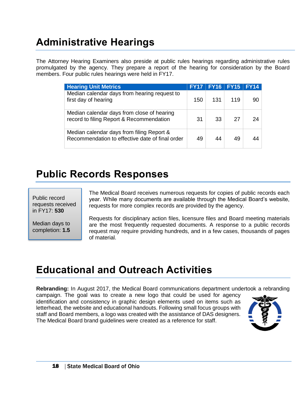# **Administrative Hearings**

The Attorney Hearing Examiners also preside at public rules hearings regarding administrative rules promulgated by the agency. They prepare a report of the hearing for consideration by the Board members. Four public rules hearings were held in FY17.

| <b>Hearing Unit Metrics</b>                                                                  | <b>FY17</b> | <b>FY16</b> | $\mathsf{FY15}$ | <b>FY14</b> |
|----------------------------------------------------------------------------------------------|-------------|-------------|-----------------|-------------|
| Median calendar days from hearing request to<br>first day of hearing                         | 150         | 131         | 119             | 90          |
| Median calendar days from close of hearing<br>record to filing Report & Recommendation       | 31          | 33          | 27              | 24          |
| Median calendar days from filing Report &<br>Recommendation to effective date of final order | 49          | 44          | 49              |             |

### **Public Records Responses**

Public record requests received in FY17: **530**

Median days to completion: **1.5** The Medical Board receives numerous requests for copies of public records each year. While many documents are available through the Medical Board's website, requests for more complex records are provided by the agency.

Requests for disciplinary action files, licensure files and Board meeting materials are the most frequently requested documents. A response to a public records request may require providing hundreds, and in a few cases, thousands of pages of material.

### **Educational and Outreach Activities**

**Rebranding:** In August 2017, the Medical Board communications department undertook a rebranding

campaign. The goal was to create a new logo that could be used for agency identification and consistency in graphic design elements used on items such as letterhead, the website and educational handouts. Following small focus groups with staff and Board members, a logo was created with the assistance of DAS designers. The Medical Board brand guidelines were created as a reference for staff.

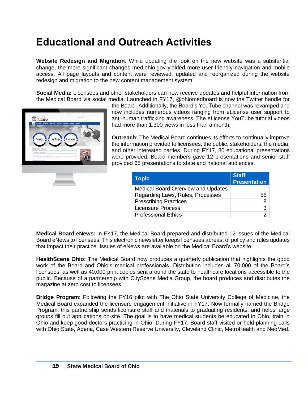# **Educational and Outreach Activities**

**Website Redesign and Migration**: While updating the look on the new website was a substantial change, the more significant changes med.ohio.gov yielded more user-friendly navigation and mobile access. All page layouts and content were reviewed, updated and reorganized during the website redesign and migration to the new content management system.

**Social Media:** Licensees and other stakeholders can now receive updates and helpful information from the Medical Board via social media. Launched in FY17, @ohiomedboard is now the Twitter handle for



the Board. Additionally, the Board's YouTube channel was revamped and now includes numerous videos ranging from eLicense user support to anti-human trafficking awareness. The eLicense YouTube tutorial videos had more than 1,300 views in less than a month.

**Outreach:** The Medical Board continues its efforts to continually improve the information provided to licensees, the public, stakeholders, the media, and other interested parties. During FY17, 80 educational presentations were provided. Board members gave 12 presentations and senior staff provided 68 presentations to state and national audiences.

| <b>Staff</b><br><b>Presentation</b> |
|-------------------------------------|
|                                     |
| 55                                  |
| 8                                   |
| 3                                   |
|                                     |
|                                     |

**Medical Board eNews:** In FY17, the Medical Board prepared and distributed 12 issues of the Medical Board eNews to licensees. This electronic newsletter keeps licensees abreast of policy and rules updates that impact their practice. Issues of eNews are available on the Medical Board's website.

**HealthScene Ohio:** The Medical Board now produces a quarterly publication that highlights the good work of the Board and Ohio's medical professionals. Distribution includes all 70,000 of the Board's licensees, as well as 40,000 print copies sent around the state to healthcare locations accessible to the public. Because of a partnership with CityScene Media Group, the board produces and distributes the magazine at zero cost to licensees.

**Bridge Program**: Following the FY16 pilot with The Ohio State University College of Medicine, the Medical Board expanded the licensure engagement initiative in FY17. Now formally named the Bridge Program, this partnership sends licensure staff and materials to graduating residents, and helps large groups fill out applications on-site. The goal is to have medical students be educated in Ohio, train in Ohio and keep good doctors practicing in Ohio. During FY17, Board staff visited or held planning calls with Ohio State, Adena, Case Western Reserve University, Cleveland Clinic, MetroHealth and NeoMed.